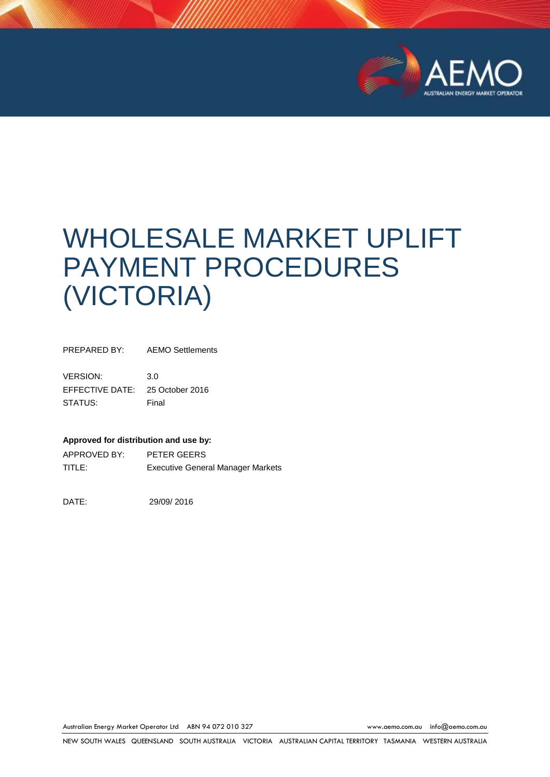

# WHOLESALE MARKET UPLIFT PAYMENT PROCEDURES (VICTORIA)

PREPARED BY: AEMO Settlements

VERSION: 3.0 EFFECTIVE DATE: 25 October 2016 STATUS: Final

#### **Approved for distribution and use by:**

APPROVED BY: PETER GEERS TITLE: Executive General Manager Markets

DATE: 29/09/ 2016

Australian Energy Market Operator Ltd ABN 94 072 010 327 [www.aemo.com.au](http://www.aemo.com.au/) [info@aemo.com.au](mailto:info@aemo.com.au)

NEW SOUTH WALES QUEENSLAND SOUTH AUSTRALIA VICTORIA AUSTRALIAN CAPITAL TERRITORY TASMANIA WESTERN AUSTRALIA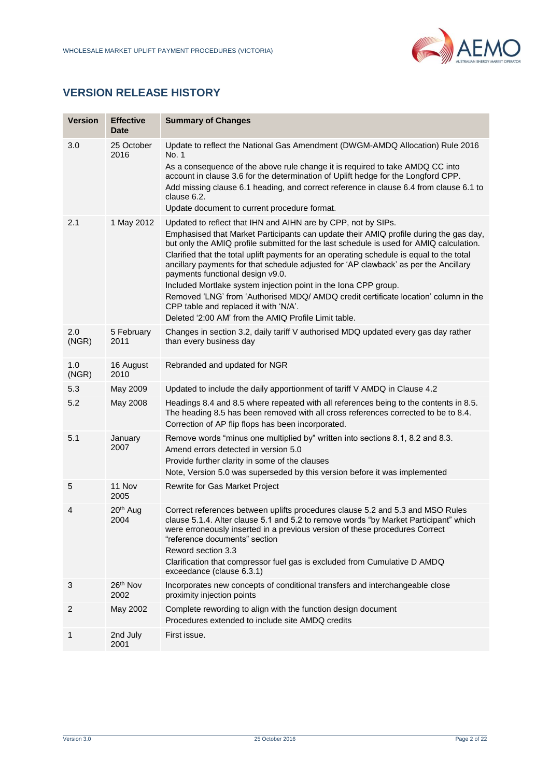

# **VERSION RELEASE HISTORY**

| <b>Version</b> | <b>Effective</b><br><b>Date</b> | <b>Summary of Changes</b>                                                                                                                                                                                                                                                                                                                                                                                                                                                                                                                    |
|----------------|---------------------------------|----------------------------------------------------------------------------------------------------------------------------------------------------------------------------------------------------------------------------------------------------------------------------------------------------------------------------------------------------------------------------------------------------------------------------------------------------------------------------------------------------------------------------------------------|
| 3.0            | 25 October<br>2016              | Update to reflect the National Gas Amendment (DWGM-AMDQ Allocation) Rule 2016<br>No. 1                                                                                                                                                                                                                                                                                                                                                                                                                                                       |
|                |                                 | As a consequence of the above rule change it is required to take AMDQ CC into<br>account in clause 3.6 for the determination of Uplift hedge for the Longford CPP.<br>Add missing clause 6.1 heading, and correct reference in clause 6.4 from clause 6.1 to<br>clause 6.2.                                                                                                                                                                                                                                                                  |
|                |                                 | Update document to current procedure format.                                                                                                                                                                                                                                                                                                                                                                                                                                                                                                 |
| 2.1            | 1 May 2012                      | Updated to reflect that IHN and AIHN are by CPP, not by SIPs.<br>Emphasised that Market Participants can update their AMIQ profile during the gas day,<br>but only the AMIQ profile submitted for the last schedule is used for AMIQ calculation.<br>Clarified that the total uplift payments for an operating schedule is equal to the total<br>ancillary payments for that schedule adjusted for 'AP clawback' as per the Ancillary<br>payments functional design v9.0.<br>Included Mortlake system injection point in the Iona CPP group. |
|                |                                 | Removed 'LNG' from 'Authorised MDQ/ AMDQ credit certificate location' column in the<br>CPP table and replaced it with 'N/A'.<br>Deleted '2:00 AM' from the AMIQ Profile Limit table.                                                                                                                                                                                                                                                                                                                                                         |
| 2.0<br>(NGR)   | 5 February<br>2011              | Changes in section 3.2, daily tariff V authorised MDQ updated every gas day rather<br>than every business day                                                                                                                                                                                                                                                                                                                                                                                                                                |
| 1.0<br>(NGR)   | 16 August<br>2010               | Rebranded and updated for NGR                                                                                                                                                                                                                                                                                                                                                                                                                                                                                                                |
| 5.3            | May 2009                        | Updated to include the daily apportionment of tariff V AMDQ in Clause 4.2                                                                                                                                                                                                                                                                                                                                                                                                                                                                    |
| 5.2            | May 2008                        | Headings 8.4 and 8.5 where repeated with all references being to the contents in 8.5.<br>The heading 8.5 has been removed with all cross references corrected to be to 8.4.<br>Correction of AP flip flops has been incorporated.                                                                                                                                                                                                                                                                                                            |
| 5.1            | January<br>2007                 | Remove words "minus one multiplied by" written into sections 8.1, 8.2 and 8.3.<br>Amend errors detected in version 5.0<br>Provide further clarity in some of the clauses                                                                                                                                                                                                                                                                                                                                                                     |
|                |                                 | Note, Version 5.0 was superseded by this version before it was implemented                                                                                                                                                                                                                                                                                                                                                                                                                                                                   |
| 5              | 11 Nov<br>2005                  | Rewrite for Gas Market Project                                                                                                                                                                                                                                                                                                                                                                                                                                                                                                               |
| 4              | 20 <sup>th</sup> Aug<br>2004    | Correct references between uplifts procedures clause 5.2 and 5.3 and MSO Rules<br>clause 5.1.4. Alter clause 5.1 and 5.2 to remove words "by Market Participant" which<br>were erroneously inserted in a previous version of these procedures Correct<br>"reference documents" section<br>Reword section 3.3<br>Clarification that compressor fuel gas is excluded from Cumulative D AMDQ                                                                                                                                                    |
|                |                                 | exceedance (clause 6.3.1)                                                                                                                                                                                                                                                                                                                                                                                                                                                                                                                    |
| 3              | 26 <sup>th</sup> Nov<br>2002    | Incorporates new concepts of conditional transfers and interchangeable close<br>proximity injection points                                                                                                                                                                                                                                                                                                                                                                                                                                   |
| $\overline{c}$ | May 2002                        | Complete rewording to align with the function design document<br>Procedures extended to include site AMDQ credits                                                                                                                                                                                                                                                                                                                                                                                                                            |
| 1              | 2nd July<br>2001                | First issue.                                                                                                                                                                                                                                                                                                                                                                                                                                                                                                                                 |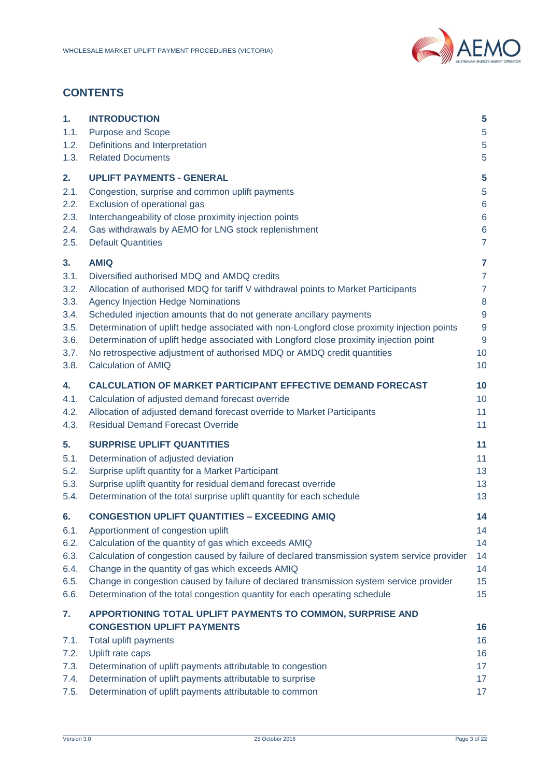

# **CONTENTS**

| 1.                                         | <b>INTRODUCTION</b>                                                                                                                                                                                                                                                                                                                 | 5                                |
|--------------------------------------------|-------------------------------------------------------------------------------------------------------------------------------------------------------------------------------------------------------------------------------------------------------------------------------------------------------------------------------------|----------------------------------|
| 1.1.                                       | <b>Purpose and Scope</b>                                                                                                                                                                                                                                                                                                            | $\sqrt{5}$                       |
| 1.2.                                       | Definitions and Interpretation                                                                                                                                                                                                                                                                                                      | $\sqrt{5}$                       |
| 1.3.                                       | <b>Related Documents</b>                                                                                                                                                                                                                                                                                                            | 5                                |
| 2.                                         | <b>UPLIFT PAYMENTS - GENERAL</b>                                                                                                                                                                                                                                                                                                    | 5                                |
| 2.1.                                       | Congestion, surprise and common uplift payments                                                                                                                                                                                                                                                                                     | $\sqrt{5}$                       |
| 2.2.                                       | Exclusion of operational gas                                                                                                                                                                                                                                                                                                        | $\boldsymbol{6}$                 |
| 2.3.                                       | Interchangeability of close proximity injection points                                                                                                                                                                                                                                                                              | 6                                |
| 2.4.                                       | Gas withdrawals by AEMO for LNG stock replenishment                                                                                                                                                                                                                                                                                 | $\,6$                            |
| 2.5.                                       | <b>Default Quantities</b>                                                                                                                                                                                                                                                                                                           | $\overline{7}$                   |
| 3.                                         | <b>AMIQ</b>                                                                                                                                                                                                                                                                                                                         | $\overline{7}$                   |
| 3.1.                                       | Diversified authorised MDQ and AMDQ credits                                                                                                                                                                                                                                                                                         | $\overline{7}$                   |
| 3.2.                                       | Allocation of authorised MDQ for tariff V withdrawal points to Market Participants                                                                                                                                                                                                                                                  | $\overline{7}$                   |
| 3.3.                                       | <b>Agency Injection Hedge Nominations</b>                                                                                                                                                                                                                                                                                           | 8                                |
| 3.4.                                       | Scheduled injection amounts that do not generate ancillary payments                                                                                                                                                                                                                                                                 | $\overline{9}$                   |
| 3.5.                                       | Determination of uplift hedge associated with non-Longford close proximity injection points                                                                                                                                                                                                                                         | $9$                              |
| 3.6.                                       | Determination of uplift hedge associated with Longford close proximity injection point                                                                                                                                                                                                                                              | $\overline{9}$                   |
| 3.7.                                       | No retrospective adjustment of authorised MDQ or AMDQ credit quantities                                                                                                                                                                                                                                                             | 10                               |
| 3.8.                                       | <b>Calculation of AMIQ</b>                                                                                                                                                                                                                                                                                                          | 10                               |
| 4.                                         | <b>CALCULATION OF MARKET PARTICIPANT EFFECTIVE DEMAND FORECAST</b>                                                                                                                                                                                                                                                                  | 10                               |
| 4.1.                                       | Calculation of adjusted demand forecast override                                                                                                                                                                                                                                                                                    | 10                               |
| 4.2.                                       | Allocation of adjusted demand forecast override to Market Participants                                                                                                                                                                                                                                                              | 11                               |
| 4.3.                                       | <b>Residual Demand Forecast Override</b>                                                                                                                                                                                                                                                                                            | 11                               |
| 5.                                         | <b>SURPRISE UPLIFT QUANTITIES</b>                                                                                                                                                                                                                                                                                                   | 11                               |
| 5.1.                                       | Determination of adjusted deviation                                                                                                                                                                                                                                                                                                 | 11                               |
| 5.2.                                       | Surprise uplift quantity for a Market Participant                                                                                                                                                                                                                                                                                   | 13                               |
| 5.3.                                       | Surprise uplift quantity for residual demand forecast override                                                                                                                                                                                                                                                                      | 13                               |
| 5.4.                                       | Determination of the total surprise uplift quantity for each schedule                                                                                                                                                                                                                                                               | 13                               |
| 6.                                         | <b>CONGESTION UPLIFT QUANTITIES - EXCEEDING AMIQ</b>                                                                                                                                                                                                                                                                                | 14                               |
| 6.1.                                       | Apportionment of congestion uplift                                                                                                                                                                                                                                                                                                  | 14                               |
| 6.2.                                       | Calculation of the quantity of gas which exceeds AMIQ                                                                                                                                                                                                                                                                               | 14                               |
| 6.3.                                       | Calculation of congestion caused by failure of declared transmission system service provider                                                                                                                                                                                                                                        | 14                               |
| 6.4.                                       | Change in the quantity of gas which exceeds AMIQ                                                                                                                                                                                                                                                                                    | 14                               |
| 6.5.                                       | Change in congestion caused by failure of declared transmission system service provider                                                                                                                                                                                                                                             | 15                               |
| 6.6.                                       | Determination of the total congestion quantity for each operating schedule                                                                                                                                                                                                                                                          | 15                               |
| 7.<br>7.1.<br>7.2.<br>7.3.<br>7.4.<br>7.5. | APPORTIONING TOTAL UPLIFT PAYMENTS TO COMMON, SURPRISE AND<br><b>CONGESTION UPLIFT PAYMENTS</b><br>Total uplift payments<br>Uplift rate caps<br>Determination of uplift payments attributable to congestion<br>Determination of uplift payments attributable to surprise<br>Determination of uplift payments attributable to common | 16<br>16<br>16<br>17<br>17<br>17 |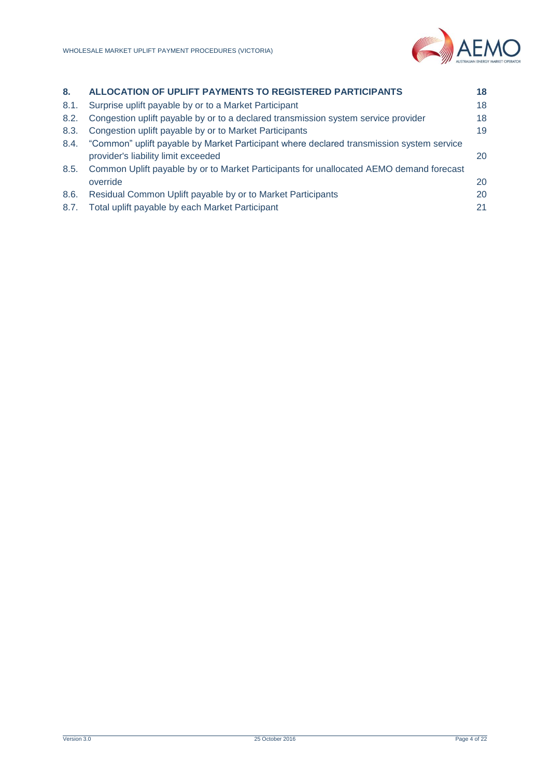

| 8 <sub>1</sub> | <b>ALLOCATION OF UPLIFT PAYMENTS TO REGISTERED PARTICIPANTS</b>                          | 18 |
|----------------|------------------------------------------------------------------------------------------|----|
| 8.1.           | Surprise uplift payable by or to a Market Participant                                    | 18 |
| 8.2.           | Congestion uplift payable by or to a declared transmission system service provider       | 18 |
| 8.3.           | Congestion uplift payable by or to Market Participants                                   | 19 |
| 8.4.           | "Common" uplift payable by Market Participant where declared transmission system service |    |
|                | provider's liability limit exceeded                                                      | 20 |
| 8.5.           | Common Uplift payable by or to Market Participants for unallocated AEMO demand forecast  |    |
|                | override                                                                                 | 20 |
| 8.6.           | Residual Common Uplift payable by or to Market Participants                              | 20 |
| 8.7.           | Total uplift payable by each Market Participant                                          | 21 |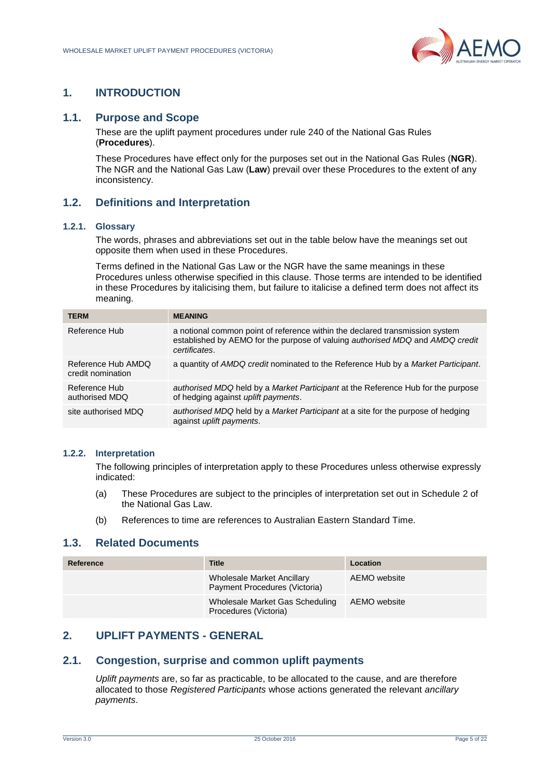

# <span id="page-4-0"></span>**1. INTRODUCTION**

### <span id="page-4-1"></span>**1.1. Purpose and Scope**

These are the uplift payment procedures under rule 240 of the National Gas Rules (**Procedures**).

These Procedures have effect only for the purposes set out in the National Gas Rules (**NGR**). The NGR and the National Gas Law (**Law**) prevail over these Procedures to the extent of any inconsistency.

# <span id="page-4-2"></span>**1.2. Definitions and Interpretation**

### **1.2.1. Glossary**

The words, phrases and abbreviations set out in the table below have the meanings set out opposite them when used in these Procedures.

Terms defined in the National Gas Law or the NGR have the same meanings in these Procedures unless otherwise specified in this clause. Those terms are intended to be identified in these Procedures by italicising them, but failure to italicise a defined term does not affect its meaning.

| <b>TERM</b>                             | <b>MEANING</b>                                                                                                                                                                 |
|-----------------------------------------|--------------------------------------------------------------------------------------------------------------------------------------------------------------------------------|
| Reference Hub                           | a notional common point of reference within the declared transmission system<br>established by AEMO for the purpose of valuing authorised MDQ and AMDQ credit<br>certificates. |
| Reference Hub AMDQ<br>credit nomination | a quantity of AMDQ credit nominated to the Reference Hub by a Market Participant.                                                                                              |
| Reference Hub<br>authorised MDQ         | authorised MDQ held by a Market Participant at the Reference Hub for the purpose<br>of hedging against uplift payments.                                                        |
| site authorised MDQ                     | authorised MDQ held by a Market Participant at a site for the purpose of hedging<br>against uplift payments.                                                                   |

#### **1.2.2. Interpretation**

The following principles of interpretation apply to these Procedures unless otherwise expressly indicated:

- (a) These Procedures are subject to the principles of interpretation set out in Schedule 2 of the National Gas Law.
- (b) References to time are references to Australian Eastern Standard Time.

# <span id="page-4-3"></span>**1.3. Related Documents**

| Reference | <b>Title</b>                                                | Location     |  |
|-----------|-------------------------------------------------------------|--------------|--|
|           | Wholesale Market Ancillary<br>Payment Procedures (Victoria) | AEMO website |  |
|           | Wholesale Market Gas Scheduling<br>Procedures (Victoria)    | AEMO website |  |

# <span id="page-4-4"></span>**2. UPLIFT PAYMENTS - GENERAL**

# **2.1. Congestion, surprise and common uplift payments**

<span id="page-4-5"></span>*Uplift payments* are, so far as practicable, to be allocated to the cause, and are therefore allocated to those *Registered Participants* whose actions generated the relevant *ancillary payments*.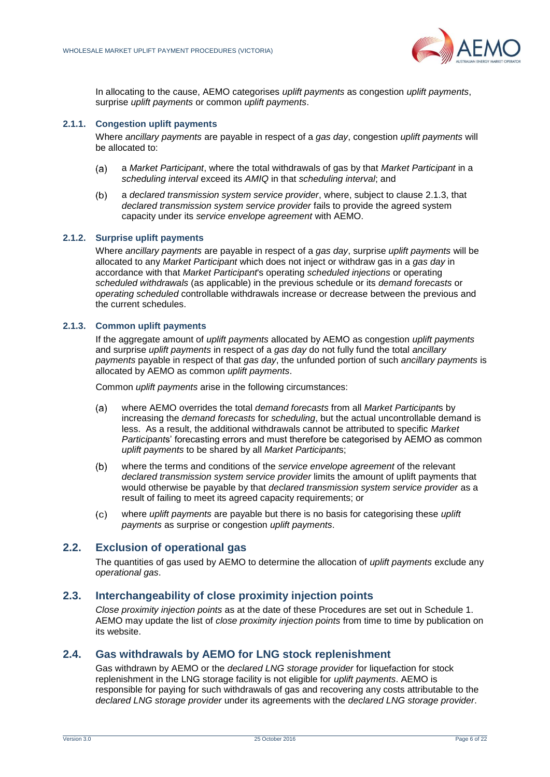

In allocating to the cause, AEMO categorises *uplift payments* as congestion *uplift payments*, surprise *uplift payments* or common *uplift payments*.

#### **2.1.1. Congestion uplift payments**

Where *ancillary payments* are payable in respect of a *gas day*, congestion *uplift payments* will be allocated to:

- $(a)$ a *Market Participant*, where the total withdrawals of gas by that *Market Participant* in a *scheduling interval* exceed its *AMIQ* in that *scheduling interval*; and
- a *declared transmission system service provider*, where, subject to clause 2.1.3, that  $(b)$ *declared transmission system service provider* fails to provide the agreed system capacity under its *service envelope agreement* with AEMO.

### **2.1.2. Surprise uplift payments**

Where *ancillary payments* are payable in respect of a *gas day*, surprise *uplift payments* will be allocated to any *Market Participant* which does not inject or withdraw gas in a *gas day* in accordance with that *Market Participant*'s operating *scheduled injections* or operating *scheduled withdrawals* (as applicable) in the previous schedule or its *demand forecasts* or *operating scheduled* controllable withdrawals increase or decrease between the previous and the current schedules.

### **2.1.3. Common uplift payments**

If the aggregate amount of *uplift payments* allocated by AEMO as congestion *uplift payments* and surprise *uplift payments* in respect of a *gas day* do not fully fund the total *ancillary payments* payable in respect of that *gas day*, the unfunded portion of such *ancillary payments* is allocated by AEMO as common *uplift payments*.

Common *uplift payments* arise in the following circumstances:

- $(a)$ where AEMO overrides the total *demand forecasts* from all *Market Participant*s by increasing the *demand forecasts* for *scheduling*, but the actual uncontrollable demand is less. As a result, the additional withdrawals cannot be attributed to specific *Market Participant*s' forecasting errors and must therefore be categorised by AEMO as common *uplift payments* to be shared by all *Market Participant*s;
- $(b)$ where the terms and conditions of the *service envelope agreement* of the relevant *declared transmission system service provider* limits the amount of uplift payments that would otherwise be payable by that *declared transmission system service provider* as a result of failing to meet its agreed capacity requirements; or
- $(c)$ where *uplift payments* are payable but there is no basis for categorising these *uplift payments* as surprise or congestion *uplift payments*.

### <span id="page-5-0"></span>**2.2. Exclusion of operational gas**

The quantities of gas used by AEMO to determine the allocation of *uplift payments* exclude any *operational gas*.

### <span id="page-5-1"></span>**2.3. Interchangeability of close proximity injection points**

*Close proximity injection points* as at the date of these Procedures are set out in Schedule 1. AEMO may update the list of *close proximity injection points* from time to time by publication on its website.

### <span id="page-5-2"></span>**2.4. Gas withdrawals by AEMO for LNG stock replenishment**

Gas withdrawn by AEMO or the *declared LNG storage provider* for liquefaction for stock replenishment in the LNG storage facility is not eligible for *uplift payments*. AEMO is responsible for paying for such withdrawals of gas and recovering any costs attributable to the *declared LNG storage provider* under its agreements with the *declared LNG storage provider*.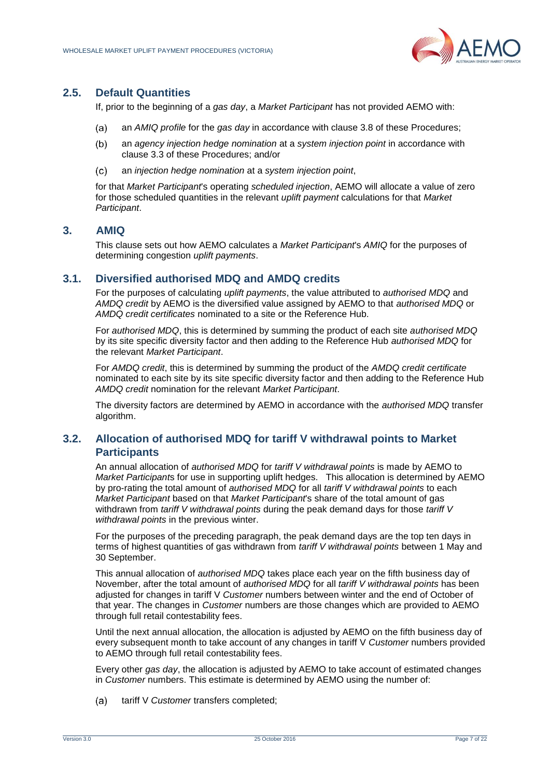

# <span id="page-6-0"></span>**2.5. Default Quantities**

If, prior to the beginning of a *gas day*, a *Market Participant* has not provided AEMO with:

- an *AMIQ profile* for the *gas day* in accordance with clause 3.8 of these Procedures;  $(a)$
- an *agency injection hedge nomination* at a *system injection point* in accordance with  $(b)$ clause 3.3 of these Procedures; and/or
- an *injection hedge nomination* at a *system injection point*,  $(c)$

for that *Market Participant*'s operating *scheduled injection*, AEMO will allocate a value of zero for those scheduled quantities in the relevant *uplift payment* calculations for that *Market Participant*.

### **3. AMIQ**

<span id="page-6-1"></span>This clause sets out how AEMO calculates a *Market Participant*'s *AMIQ* for the purposes of determining congestion *uplift payments*.

# <span id="page-6-2"></span>**3.1. Diversified authorised MDQ and AMDQ credits**

For the purposes of calculating *uplift payments*, the value attributed to *authorised MDQ* and *AMDQ credit* by AEMO is the diversified value assigned by AEMO to that *authorised MDQ* or *AMDQ credit certificates* nominated to a site or the Reference Hub.

For *authorised MDQ*, this is determined by summing the product of each site *authorised MDQ* by its site specific diversity factor and then adding to the Reference Hub *authorised MDQ* for the relevant *Market Participant*.

For *AMDQ credit*, this is determined by summing the product of the *AMDQ credit certificate* nominated to each site by its site specific diversity factor and then adding to the Reference Hub *AMDQ credit* nomination for the relevant *Market Participant*.

The diversity factors are determined by AEMO in accordance with the *authorised MDQ* transfer algorithm.

# <span id="page-6-3"></span>**3.2. Allocation of authorised MDQ for tariff V withdrawal points to Market Participants**

An annual allocation of *authorised MDQ* for *tariff V withdrawal points* is made by AEMO to *Market Participant*s for use in supporting uplift hedges. This allocation is determined by AEMO by pro-rating the total amount of *authorised MDQ* for all *tariff V withdrawal points* to each *Market Participant* based on that *Market Participant*'s share of the total amount of gas withdrawn from *tariff V withdrawal points* during the peak demand days for those *tariff V withdrawal points* in the previous winter.

For the purposes of the preceding paragraph, the peak demand days are the top ten days in terms of highest quantities of gas withdrawn from *tariff V withdrawal points* between 1 May and 30 September.

This annual allocation of *authorised MDQ* takes place each year on the fifth business day of November, after the total amount of *authorised MDQ* for all *tariff V withdrawal points* has been adjusted for changes in tariff V *Customer* numbers between winter and the end of October of that year. The changes in *Customer* numbers are those changes which are provided to AEMO through full retail contestability fees.

Until the next annual allocation, the allocation is adjusted by AEMO on the fifth business day of every subsequent month to take account of any changes in tariff V *Customer* numbers provided to AEMO through full retail contestability fees.

Every other *gas day*, the allocation is adjusted by AEMO to take account of estimated changes in *Customer* numbers. This estimate is determined by AEMO using the number of:

 $(a)$ tariff V *Customer* transfers completed;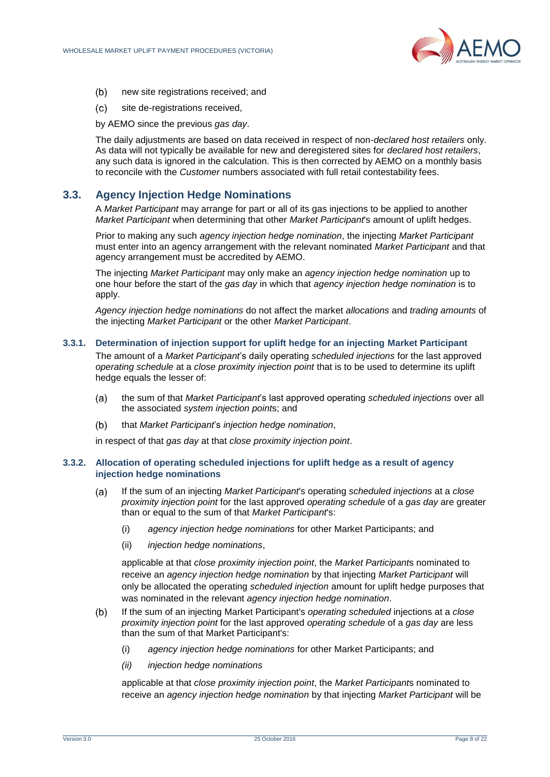

- new site registrations received; and  $(b)$
- $(c)$ site de-registrations received,

by AEMO since the previous *gas day*.

The daily adjustments are based on data received in respect of non-*declared host retailers* only. As data will not typically be available for new and deregistered sites for *declared host retailers*, any such data is ignored in the calculation. This is then corrected by AEMO on a monthly basis to reconcile with the *Customer* numbers associated with full retail contestability fees.

### <span id="page-7-0"></span>**3.3. Agency Injection Hedge Nominations**

A *Market Participant* may arrange for part or all of its gas injections to be applied to another *Market Participant* when determining that other *Market Participant*'s amount of uplift hedges.

Prior to making any such *agency injection hedge nomination*, the injecting *Market Participant* must enter into an agency arrangement with the relevant nominated *Market Participant* and that agency arrangement must be accredited by AEMO.

The injecting *Market Participant* may only make an *agency injection hedge nomination* up to one hour before the start of the *gas day* in which that *agency injection hedge nomination* is to apply.

*Agency injection hedge nominations* do not affect the market *allocations* and *trading amounts* of the injecting *Market Participant* or the other *Market Participant*.

#### **3.3.1. Determination of injection support for uplift hedge for an injecting Market Participant**

The amount of a *Market Participant*'s daily operating *scheduled injections* for the last approved *operating schedule* at a *close proximity injection point* that is to be used to determine its uplift hedge equals the lesser of:

- the sum of that *Market Participant*'s last approved operating *scheduled injections* over all  $(a)$ the associated *system injection point*s; and
- that *Market Participant*'s *injection hedge nomination*,  $(b)$

in respect of that *gas day* at that *close proximity injection point*.

#### **3.3.2. Allocation of operating scheduled injections for uplift hedge as a result of agency injection hedge nominations**

- $(a)$ If the sum of an injecting *Market Participant*'s operating *scheduled injections* at a *close proximity injection point* for the last approved *operating schedule* of a *gas day* are greater than or equal to the sum of that *Market Participant*'s:
	- (i) *agency injection hedge nominations* for other Market Participants; and
	- (ii) *injection hedge nominations*,

applicable at that *close proximity injection point*, the *Market Participant*s nominated to receive an *agency injection hedge nomination* by that injecting *Market Participant* will only be allocated the operating *scheduled injection* amount for uplift hedge purposes that was nominated in the relevant *agency injection hedge nomination*.

- If the sum of an injecting Market Participant's *operating scheduled* injections at a *close*   $(b)$ *proximity injection point* for the last approved *operating schedule* of a *gas day* are less than the sum of that Market Participant's:
	- (i) *agency injection hedge nominations* for other Market Participants; and
	- *(ii) injection hedge nominations*

applicable at that *close proximity injection point*, the *Market Participant*s nominated to receive an *agency injection hedge nomination* by that injecting *Market Participant* will be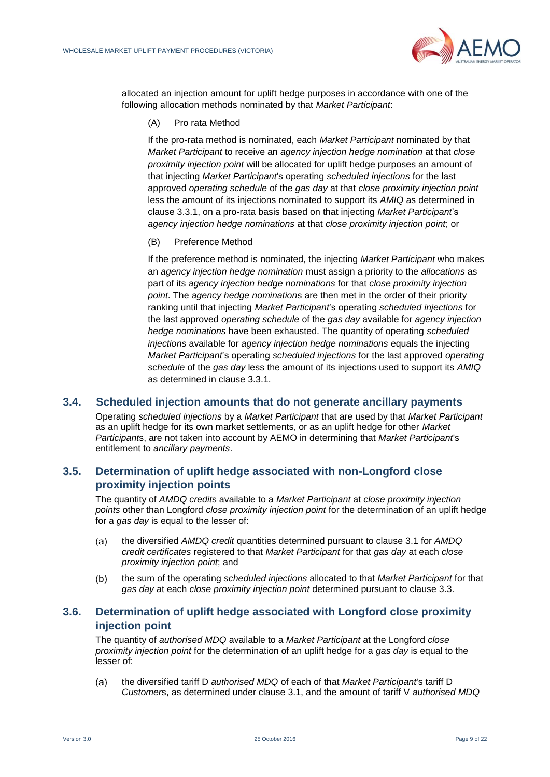

allocated an injection amount for uplift hedge purposes in accordance with one of the following allocation methods nominated by that *Market Participant*:

(A) Pro rata Method

If the pro-rata method is nominated, each *Market Participant* nominated by that *Market Participant* to receive an *agency injection hedge nomination* at that *close proximity injection point* will be allocated for uplift hedge purposes an amount of that injecting *Market Participant*'s operating *scheduled injections* for the last approved *operating schedule* of the *gas day* at that *close proximity injection point* less the amount of its injections nominated to support its *AMIQ* as determined in clause 3.3.1, on a pro-rata basis based on that injecting *Market Participant*'s *agency injection hedge nominations* at that *close proximity injection point*; or

(B) Preference Method

If the preference method is nominated, the injecting *Market Participant* who makes an *agency injection hedge nomination* must assign a priority to the *allocations* as part of its *agency injection hedge nominations* for that *close proximity injection point*. The *agency hedge nomination*s are then met in the order of their priority ranking until that injecting *Market Participant*'s operating *scheduled injections* for the last approved *operating schedule* of the *gas day* available for *agency injection hedge nominations* have been exhausted. The quantity of operating *scheduled injections* available for *agency injection hedge nominations* equals the injecting *Market Participant*'s operating *scheduled injections* for the last approved *operating schedule* of the *gas day* less the amount of its injections used to support its *AMIQ* as determined in clause 3.3.1.

# **3.4. Scheduled injection amounts that do not generate ancillary payments**

<span id="page-8-0"></span>Operating *scheduled injections* by a *Market Participant* that are used by that *Market Participant* as an uplift hedge for its own market settlements, or as an uplift hedge for other *Market Participant*s, are not taken into account by AEMO in determining that *Market Participant*'s entitlement to *ancillary payments*.

# <span id="page-8-1"></span>**3.5. Determination of uplift hedge associated with non-Longford close proximity injection points**

The quantity of *AMDQ credit*s available to a *Market Participant* at *close proximity injection points* other than Longford *close proximity injection point* for the determination of an uplift hedge for a *gas day* is equal to the lesser of:

- $(a)$ the diversified *AMDQ credit* quantities determined pursuant to clause 3.1 for *AMDQ credit certificates* registered to that *Market Participant* for that *gas day* at each *close proximity injection point*; and
- the sum of the operating *scheduled injections* allocated to that *Market Participant* for that  $(b)$ *gas day* at each *close proximity injection point* determined pursuant to clause 3.3.

# <span id="page-8-2"></span>**3.6. Determination of uplift hedge associated with Longford close proximity injection point**

The quantity of *authorised MDQ* available to a *Market Participant* at the Longford *close proximity injection point* for the determination of an uplift hedge for a *gas day* is equal to the lesser of:

the diversified tariff D *authorised MDQ* of each of that *Market Participant*'s tariff D  $(a)$ *Customer*s, as determined under clause 3.1, and the amount of tariff V *authorised MDQ*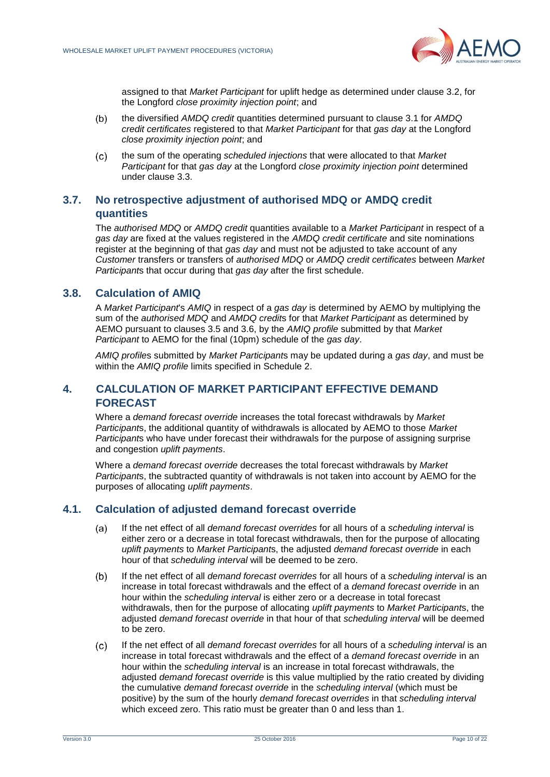

assigned to that *Market Participant* for uplift hedge as determined under clause 3.2, for the Longford *close proximity injection point*; and

- $(b)$ the diversified *AMDQ credit* quantities determined pursuant to clause 3.1 for *AMDQ credit certificates* registered to that *Market Participant* for that *gas day* at the Longford *close proximity injection point*; and
- the sum of the operating *scheduled injections* that were allocated to that *Market*   $(c)$ *Participant* for that *gas day* at the Longford *close proximity injection point* determined under clause 3.3.

# <span id="page-9-0"></span>**3.7. No retrospective adjustment of authorised MDQ or AMDQ credit quantities**

The *authorised MDQ* or *AMDQ credit* quantities available to a *Market Participant* in respect of a *gas day* are fixed at the values registered in the *AMDQ credit certificate* and site nominations register at the beginning of that *gas day* and must not be adjusted to take account of any *Customer* transfers or transfers of *authorised MDQ* or *AMDQ credit certificates* between *Market Participant*s that occur during that *gas day* after the first schedule.

### <span id="page-9-1"></span>**3.8. Calculation of AMIQ**

A *Market Participant*'s *AMIQ* in respect of a *gas day* is determined by AEMO by multiplying the sum of the *authorised MDQ* and *AMDQ credit*s for that *Market Participant* as determined by AEMO pursuant to clauses 3.5 and 3.6, by the *AMIQ profile* submitted by that *Market Participant* to AEMO for the final (10pm) schedule of the *gas day*.

<span id="page-9-2"></span>*AMIQ profile*s submitted by *Market Participant*s may be updated during a *gas day*, and must be within the *AMIQ profile* limits specified in Schedule 2.

# **4. CALCULATION OF MARKET PARTICIPANT EFFECTIVE DEMAND FORECAST**

Where a *demand forecast override* increases the total forecast withdrawals by *Market Participant*s, the additional quantity of withdrawals is allocated by AEMO to those *Market Participant*s who have under forecast their withdrawals for the purpose of assigning surprise and congestion *uplift payments*.

Where a *demand forecast override* decreases the total forecast withdrawals by *Market Participant*s, the subtracted quantity of withdrawals is not taken into account by AEMO for the purposes of allocating *uplift payments*.

# <span id="page-9-3"></span>**4.1. Calculation of adjusted demand forecast override**

- $(a)$ If the net effect of all *demand forecast overrides* for all hours of a *scheduling interval* is either zero or a decrease in total forecast withdrawals, then for the purpose of allocating *uplift payments* to *Market Participant*s, the adjusted *demand forecast override* in each hour of that *scheduling interval* will be deemed to be zero.
- $(b)$ If the net effect of all *demand forecast overrides* for all hours of a *scheduling interval* is an increase in total forecast withdrawals and the effect of a *demand forecast override* in an hour within the *scheduling interval* is either zero or a decrease in total forecast withdrawals, then for the purpose of allocating *uplift payments* to *Market Participant*s, the adjusted *demand forecast override* in that hour of that *scheduling interval* will be deemed to be zero.
- $(c)$ If the net effect of all *demand forecast overrides* for all hours of a *scheduling interval* is an increase in total forecast withdrawals and the effect of a *demand forecast override* in an hour within the *scheduling interval* is an increase in total forecast withdrawals, the adjusted *demand forecast override* is this value multiplied by the ratio created by dividing the cumulative *demand forecast override* in the *scheduling interval* (which must be positive) by the sum of the hourly *demand forecast overrides* in that *scheduling interval* which exceed zero. This ratio must be greater than 0 and less than 1.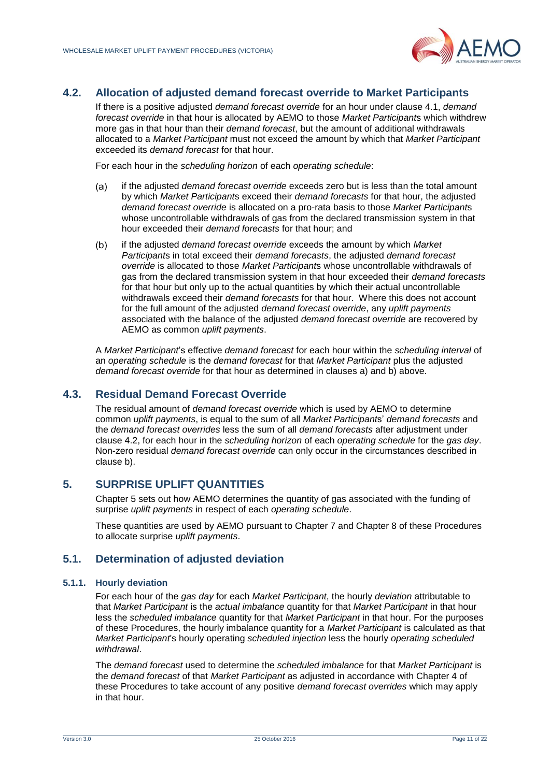

# <span id="page-10-0"></span>**4.2. Allocation of adjusted demand forecast override to Market Participants**

If there is a positive adjusted *demand forecast override* for an hour under clause 4.1, *demand forecast override* in that hour is allocated by AEMO to those *Market Participant*s which withdrew more gas in that hour than their *demand forecast*, but the amount of additional withdrawals allocated to a *Market Participant* must not exceed the amount by which that *Market Participant* exceeded its *demand forecast* for that hour.

For each hour in the *scheduling horizon* of each *operating schedule*:

- $(a)$ if the adjusted *demand forecast override* exceeds zero but is less than the total amount by which *Market Participant*s exceed their *demand forecasts* for that hour, the adjusted *demand forecast override* is allocated on a pro-rata basis to those *Market Participant*s whose uncontrollable withdrawals of gas from the declared transmission system in that hour exceeded their *demand forecasts* for that hour; and
- $(b)$ if the adjusted *demand forecast override* exceeds the amount by which *Market Participant*s in total exceed their *demand forecasts*, the adjusted *demand forecast override* is allocated to those *Market Participant*s whose uncontrollable withdrawals of gas from the declared transmission system in that hour exceeded their *demand forecasts* for that hour but only up to the actual quantities by which their actual uncontrollable withdrawals exceed their *demand forecasts* for that hour. Where this does not account for the full amount of the adjusted *demand forecast override*, any *uplift payments* associated with the balance of the adjusted *demand forecast override* are recovered by AEMO as common *uplift payments*.

A *Market Participant*'s effective *demand forecast* for each hour within the *scheduling interval* of an *operating schedule* is the *demand forecast* for that *Market Participant* plus the adjusted *demand forecast override* for that hour as determined in clauses a) and b) above.

### <span id="page-10-1"></span>**4.3. Residual Demand Forecast Override**

The residual amount of *demand forecast override* which is used by AEMO to determine common *uplift payments*, is equal to the sum of all *Market Participant*s' *demand forecasts* and the *demand forecast overrides* less the sum of all *demand forecasts* after adjustment under clause 4.2, for each hour in the *scheduling horizon* of each *operating schedule* for the *gas day*. Non-zero residual *demand forecast override* can only occur in the circumstances described in clause b).

# <span id="page-10-2"></span>**5. SURPRISE UPLIFT QUANTITIES**

Chapter 5 sets out how AEMO determines the quantity of gas associated with the funding of surprise *uplift payments* in respect of each *operating schedule*.

These quantities are used by AEMO pursuant to Chapter 7 and Chapter 8 of these Procedures to allocate surprise *uplift payments*.

### <span id="page-10-3"></span>**5.1. Determination of adjusted deviation**

#### **5.1.1. Hourly deviation**

For each hour of the *gas day* for each *Market Participant*, the hourly *deviation* attributable to that *Market Participant* is the *actual imbalance* quantity for that *Market Participant* in that hour less the *scheduled imbalance* quantity for that *Market Participant* in that hour. For the purposes of these Procedures, the hourly imbalance quantity for a *Market Participant* is calculated as that *Market Participant*'s hourly operating *scheduled injection* less the hourly *operating scheduled withdrawal*.

The *demand forecast* used to determine the *scheduled imbalance* for that *Market Participant* is the *demand forecast* of that *Market Participant* as adjusted in accordance with Chapter 4 of these Procedures to take account of any positive *demand forecast overrides* which may apply in that hour.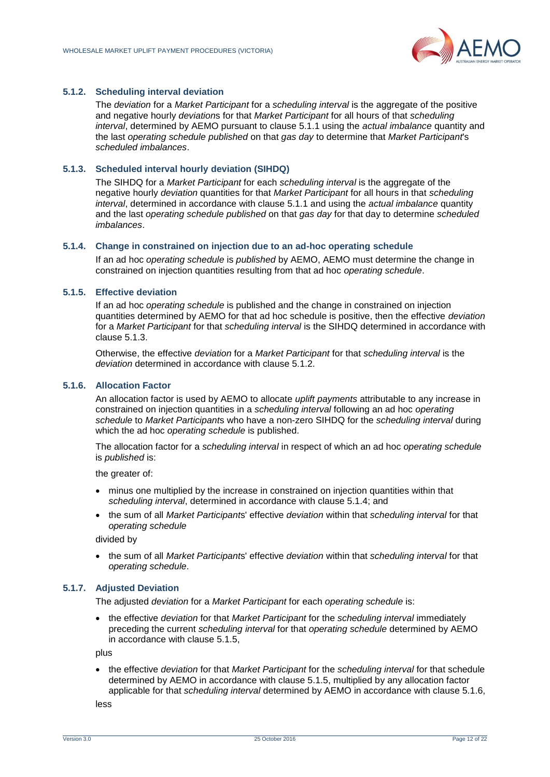

#### **5.1.2. Scheduling interval deviation**

The *deviation* for a *Market Participant* for a *scheduling interval* is the aggregate of the positive and negative hourly *deviation*s for that *Market Participant* for all hours of that *scheduling interval*, determined by AEMO pursuant to clause 5.1.1 using the *actual imbalance* quantity and the last *operating schedule published* on that *gas day* to determine that *Market Participant*'s *scheduled imbalances*.

#### **5.1.3. Scheduled interval hourly deviation (SIHDQ)**

The SIHDQ for a *Market Participant* for each *scheduling interval* is the aggregate of the negative hourly *deviation* quantities for that *Market Participant* for all hours in that *scheduling interval*, determined in accordance with clause 5.1.1 and using the *actual imbalance* quantity and the last *operating schedule published* on that *gas day* for that day to determine *scheduled imbalances*.

#### **5.1.4. Change in constrained on injection due to an ad-hoc operating schedule**

If an ad hoc *operating schedule* is *published* by AEMO, AEMO must determine the change in constrained on injection quantities resulting from that ad hoc *operating schedule*.

#### **5.1.5. Effective deviation**

If an ad hoc *operating schedule* is published and the change in constrained on injection quantities determined by AEMO for that ad hoc schedule is positive, then the effective *deviation* for a *Market Participant* for that *scheduling interval* is the SIHDQ determined in accordance with clause 5.1.3.

Otherwise, the effective *deviation* for a *Market Participant* for that *scheduling interval* is the *deviation* determined in accordance with clause 5.1.2.

#### **5.1.6. Allocation Factor**

An allocation factor is used by AEMO to allocate *uplift payments* attributable to any increase in constrained on injection quantities in a *scheduling interval* following an ad hoc *operating schedule* to *Market Participant*s who have a non-zero SIHDQ for the *scheduling interval* during which the ad hoc *operating schedule* is published.

The allocation factor for a *scheduling interval* in respect of which an ad hoc *operating schedule* is *published* is:

the greater of:

- minus one multiplied by the increase in constrained on injection quantities within that *scheduling interval*, determined in accordance with clause 5.1.4; and
- the sum of all *Market Participant*s' effective *deviation* within that *scheduling interval* for that *operating schedule*

divided by

 the sum of all *Market Participant*s' effective *deviation* within that *scheduling interval* for that *operating schedule*.

#### **5.1.7. Adjusted Deviation**

The adjusted *deviation* for a *Market Participant* for each *operating schedule* is:

 the effective *deviation* for that *Market Participant* for the *scheduling interval* immediately preceding the current *scheduling interval* for that *operating schedule* determined by AEMO in accordance with clause 5.1.5,

plus

 the effective *deviation* for that *Market Participant* for the *scheduling interval* for that schedule determined by AEMO in accordance with clause 5.1.5, multiplied by any allocation factor applicable for that *scheduling interval* determined by AEMO in accordance with clause 5.1.6,

less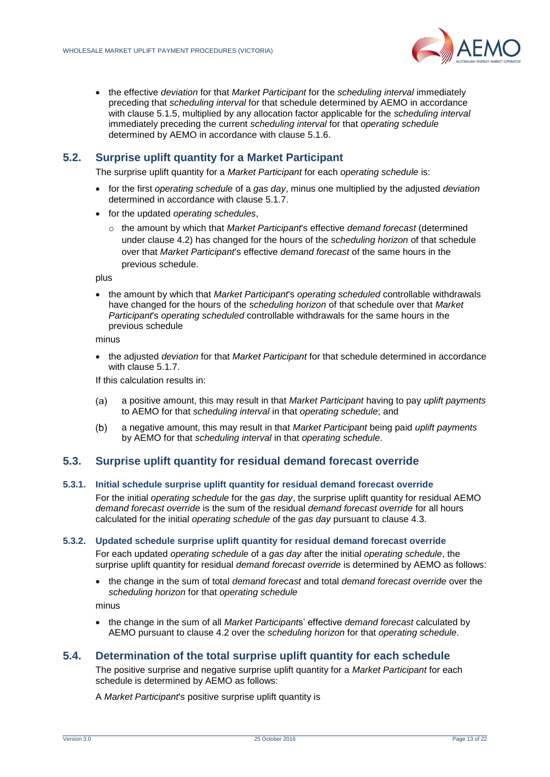

 the effective *deviation* for that *Market Participant* for the *scheduling interval* immediately preceding that *scheduling interval* for that schedule determined by AEMO in accordance with clause 5.1.5, multiplied by any allocation factor applicable for the *scheduling interval* immediately preceding the current *scheduling interval* for that *operating schedule* determined by AEMO in accordance with clause 5.1.6.

# <span id="page-12-0"></span>**5.2. Surprise uplift quantity for a Market Participant**

The surprise uplift quantity for a *Market Participant* for each *operating schedule* is:

- for the first *operating schedule* of a *gas day*, minus one multiplied by the adjusted *deviation* determined in accordance with clause 5.1.7.
- for the updated *operating schedules*,
	- o the amount by which that *Market Participant*'s effective *demand forecast* (determined under clause 4.2) has changed for the hours of the *scheduling horizon* of that schedule over that *Market Participant*'s effective *demand forecast* of the same hours in the previous schedule.

plus

 the amount by which that *Market Participant*'s *operating scheduled* controllable withdrawals have changed for the hours of the *scheduling horizon* of that schedule over that *Market Participant*'s *operating scheduled* controllable withdrawals for the same hours in the previous schedule

minus

 the adjusted *deviation* for that *Market Participant* for that schedule determined in accordance with clause 5.1.7.

If this calculation results in:

- a positive amount, this may result in that *Market Participant* having to pay *uplift payments*  $(a)$ to AEMO for that *scheduling interval* in that *operating schedule*; and
- $(b)$ a negative amount, this may result in that *Market Participant* being paid *uplift payments* by AEMO for that *scheduling interval* in that *operating schedule*.

# <span id="page-12-1"></span>**5.3. Surprise uplift quantity for residual demand forecast override**

#### **5.3.1. Initial schedule surprise uplift quantity for residual demand forecast override**

For the initial *operating schedule* for the *gas day*, the surprise uplift quantity for residual AEMO *demand forecast override* is the sum of the residual *demand forecast override* for all hours calculated for the initial *operating schedule* of the *gas day* pursuant to clause 4.3.

#### **5.3.2. Updated schedule surprise uplift quantity for residual demand forecast override**

For each updated *operating schedule* of a *gas day* after the initial *operating schedule*, the surprise uplift quantity for residual *demand forecast override* is determined by AEMO as follows:

 the change in the sum of total *demand forecast* and total *demand forecast override* over the *scheduling horizon* for that *operating schedule*

minus

 the change in the sum of all *Market Participant*s' effective *demand forecast* calculated by AEMO pursuant to clause 4.2 over the *scheduling horizon* for that *operating schedule*.

### <span id="page-12-2"></span>**5.4. Determination of the total surprise uplift quantity for each schedule**

The positive surprise and negative surprise uplift quantity for a *Market Participant* for each schedule is determined by AEMO as follows:

A *Market Participant*'s positive surprise uplift quantity is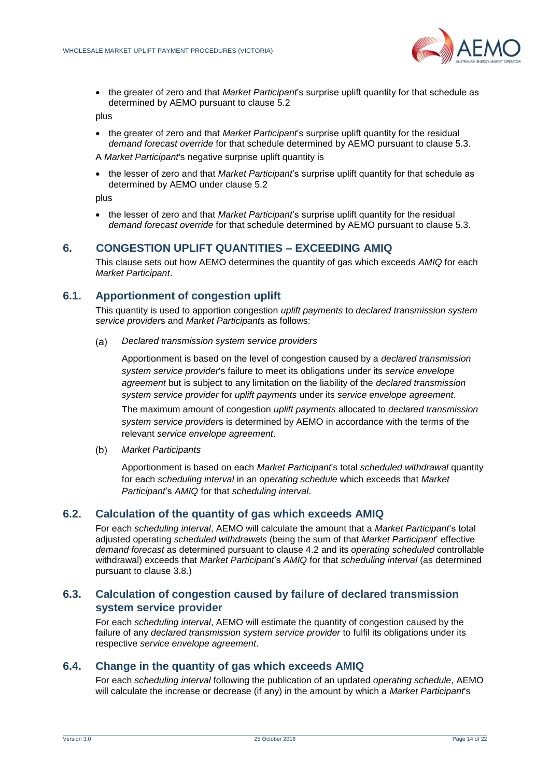

 the greater of zero and that *Market Participant*'s surprise uplift quantity for that schedule as determined by AEMO pursuant to clause 5.2

plus

 the greater of zero and that *Market Participant*'s surprise uplift quantity for the residual *demand forecast override* for that schedule determined by AEMO pursuant to clause 5.3.

A *Market Participant*'s negative surprise uplift quantity is

 the lesser of zero and that *Market Participant*'s surprise uplift quantity for that schedule as determined by AEMO under clause 5.2

plus

<span id="page-13-0"></span> the lesser of zero and that *Market Participant*'s surprise uplift quantity for the residual *demand forecast override* for that schedule determined by AEMO pursuant to clause 5.3.

# **6. CONGESTION UPLIFT QUANTITIES – EXCEEDING AMIQ**

This clause sets out how AEMO determines the quantity of gas which exceeds *AMIQ* for each *Market Participant*.

### <span id="page-13-1"></span>**6.1. Apportionment of congestion uplift**

This quantity is used to apportion congestion *uplift payments* to *declared transmission system service provider*s and *Market Participant*s as follows:

 $(a)$ *Declared transmission system service providers*

> Apportionment is based on the level of congestion caused by a *declared transmission system service provider*'s failure to meet its obligations under its *service envelope agreement* but is subject to any limitation on the liability of the *declared transmission system service provider* for *uplift payments* under its *service envelope agreement*.

The maximum amount of congestion *uplift payments* allocated to *declared transmission system service provider*s is determined by AEMO in accordance with the terms of the relevant *service envelope agreement*.

 $(b)$ *Market Participants*

> Apportionment is based on each *Market Participant*'s total *scheduled withdrawal* quantity for each *scheduling interval* in an *operating schedule* which exceeds that *Market Participant*'s *AMIQ* for that *scheduling interval*.

### <span id="page-13-2"></span>**6.2. Calculation of the quantity of gas which exceeds AMIQ**

For each *scheduling interval*, AEMO will calculate the amount that a *Market Participant*'s total adjusted operating *scheduled withdrawals* (being the sum of that *Market Participant*' effective *demand forecast* as determined pursuant to clause 4.2 and its *operating scheduled* controllable withdrawal) exceeds that *Market Participant*'s *AMIQ* for that *scheduling interval* (as determined pursuant to clause 3.8.)

# <span id="page-13-3"></span>**6.3. Calculation of congestion caused by failure of declared transmission system service provider**

For each *scheduling interval*, AEMO will estimate the quantity of congestion caused by the failure of any *declared transmission system service provider* to fulfil its obligations under its respective *service envelope agreement*.

### <span id="page-13-4"></span>**6.4. Change in the quantity of gas which exceeds AMIQ**

For each *scheduling interval* following the publication of an updated *operating schedule*, AEMO will calculate the increase or decrease (if any) in the amount by which a *Market Participant*'s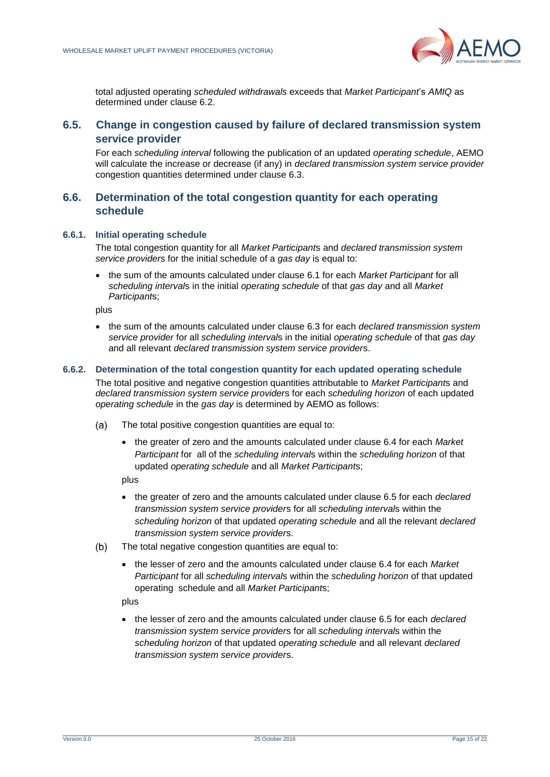

<span id="page-14-0"></span>total adjusted operating *scheduled withdrawals* exceeds that *Market Participant*'s *AMIQ* as determined under clause 6.2.

# **6.5. Change in congestion caused by failure of declared transmission system service provider**

For each *scheduling interval* following the publication of an updated *operating schedule*, AEMO will calculate the increase or decrease (if any) in *declared transmission system service provider* congestion quantities determined under clause 6.3.

# <span id="page-14-1"></span>**6.6. Determination of the total congestion quantity for each operating schedule**

### **6.6.1. Initial operating schedule**

The total congestion quantity for all *Market Participant*s and *declared transmission system service provider*s for the initial schedule of a *gas day* is equal to:

 the sum of the amounts calculated under clause 6.1 for each *Market Participant* for all *scheduling interval*s in the initial *operating schedule* of that *gas day* and all *Market Participant*s;

plus

 the sum of the amounts calculated under clause 6.3 for each *declared transmission system service provider* for all *scheduling interval*s in the initial *operating schedule* of that *gas day* and all relevant *declared transmission system service provider*s.

#### **6.6.2. Determination of the total congestion quantity for each updated operating schedule**

The total positive and negative congestion quantities attributable to *Market Participant*s and *declared transmission system service provider*s for each *scheduling horizon* of each updated *operating schedule* in the *gas day* is determined by AEMO as follows:

- The total positive congestion quantities are equal to:  $(a)$ 
	- the greater of zero and the amounts calculated under clause 6.4 for each *Market Participant* for all of the *scheduling interval*s within the *scheduling horizon* of that updated *operating schedule* and all *Market Participant*s;

plus

- the greater of zero and the amounts calculated under clause 6.5 for each *declared transmission system service provider*s for all *scheduling interval*s within the *scheduling horizon* of that updated *operating schedule* and all the relevant *declared transmission system service provider*s.
- $(b)$ The total negative congestion quantities are equal to:
	- the lesser of zero and the amounts calculated under clause 6.4 for each *Market Participant* for all *scheduling interval*s within the *scheduling horizon* of that updated operating schedule and all *Market Participant*s;

plus

 the lesser of zero and the amounts calculated under clause 6.5 for each *declared transmission system service provider*s for all *scheduling interval*s within the *scheduling horizon* of that updated *operating schedule* and all relevant *declared transmission system service provider*s.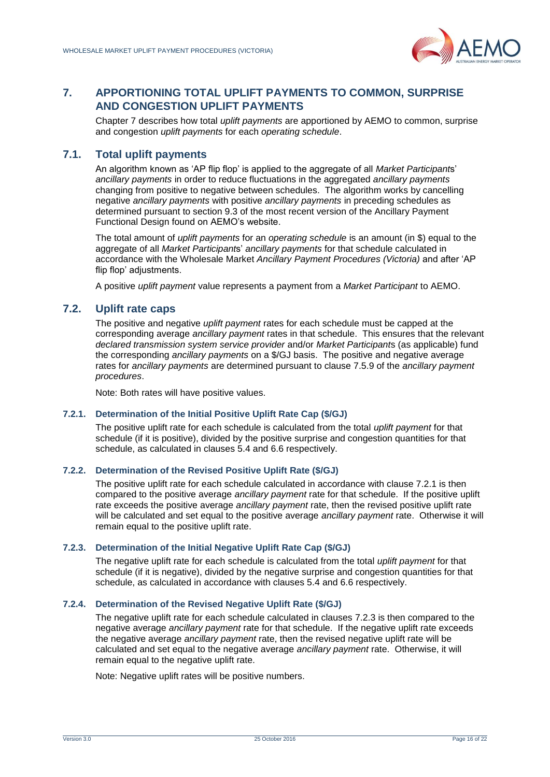

# <span id="page-15-0"></span>**7. APPORTIONING TOTAL UPLIFT PAYMENTS TO COMMON, SURPRISE AND CONGESTION UPLIFT PAYMENTS**

Chapter 7 describes how total *uplift payments* are apportioned by AEMO to common, surprise and congestion *uplift payments* for each *operating schedule*.

# <span id="page-15-1"></span>**7.1. Total uplift payments**

An algorithm known as 'AP flip flop' is applied to the aggregate of all *Market Participant*s' *ancillary payments* in order to reduce fluctuations in the aggregated *ancillary payments* changing from positive to negative between schedules. The algorithm works by cancelling negative *ancillary payments* with positive *ancillary payments* in preceding schedules as determined pursuant to section 9.3 of the most recent version of the Ancillary Payment Functional Design found on AEMO's website.

The total amount of *uplift payments* for an *operating schedule* is an amount (in \$) equal to the aggregate of all *Market Participant*s' *ancillary payments* for that schedule calculated in accordance with the Wholesale Market *Ancillary Payment Procedures (Victoria)* and after 'AP flip flop' adjustments.

A positive *uplift payment* value represents a payment from a *Market Participant* to AEMO.

# <span id="page-15-2"></span>**7.2. Uplift rate caps**

The positive and negative *uplift payment* rates for each schedule must be capped at the corresponding average *ancillary payment* rates in that schedule. This ensures that the relevant *declared transmission system service provider* and/or *Market Participant*s (as applicable) fund the corresponding *ancillary payments* on a \$/GJ basis. The positive and negative average rates for *ancillary payments* are determined pursuant to clause 7.5.9 of the *ancillary payment procedures*.

Note: Both rates will have positive values.

#### **7.2.1. Determination of the Initial Positive Uplift Rate Cap (\$/GJ)**

The positive uplift rate for each schedule is calculated from the total *uplift payment* for that schedule (if it is positive), divided by the positive surprise and congestion quantities for that schedule, as calculated in clauses 5.4 and 6.6 respectively.

### **7.2.2. Determination of the Revised Positive Uplift Rate (\$/GJ)**

The positive uplift rate for each schedule calculated in accordance with clause 7.2.1 is then compared to the positive average *ancillary payment* rate for that schedule. If the positive uplift rate exceeds the positive average *ancillary payment* rate, then the revised positive uplift rate will be calculated and set equal to the positive average *ancillary payment* rate. Otherwise it will remain equal to the positive uplift rate.

#### **7.2.3. Determination of the Initial Negative Uplift Rate Cap (\$/GJ)**

The negative uplift rate for each schedule is calculated from the total *uplift payment* for that schedule (if it is negative), divided by the negative surprise and congestion quantities for that schedule, as calculated in accordance with clauses 5.4 and 6.6 respectively.

### **7.2.4. Determination of the Revised Negative Uplift Rate (\$/GJ)**

The negative uplift rate for each schedule calculated in clauses 7.2.3 is then compared to the negative average *ancillary payment* rate for that schedule. If the negative uplift rate exceeds the negative average *ancillary payment* rate, then the revised negative uplift rate will be calculated and set equal to the negative average *ancillary payment* rate. Otherwise, it will remain equal to the negative uplift rate.

Note: Negative uplift rates will be positive numbers.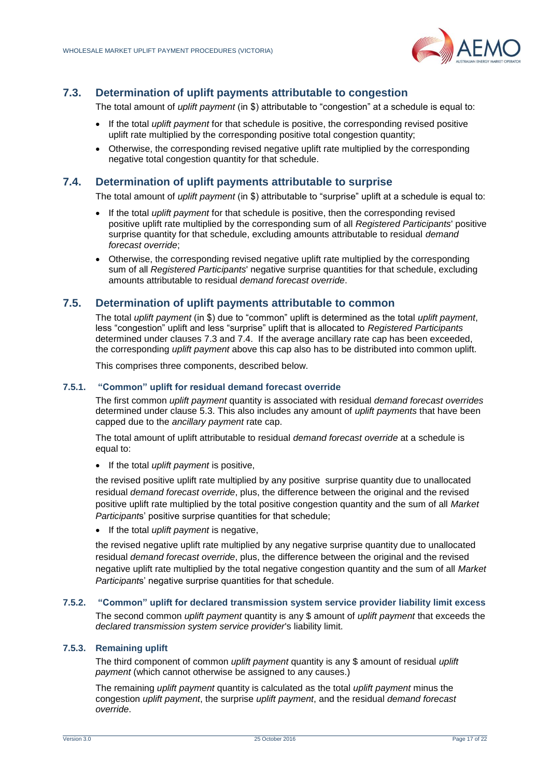

# <span id="page-16-0"></span>**7.3. Determination of uplift payments attributable to congestion**

The total amount of *uplift payment* (in \$) attributable to "congestion" at a schedule is equal to:

- If the total *uplift payment* for that schedule is positive, the corresponding revised positive uplift rate multiplied by the corresponding positive total congestion quantity;
- Otherwise, the corresponding revised negative uplift rate multiplied by the corresponding negative total congestion quantity for that schedule.

### <span id="page-16-1"></span>**7.4. Determination of uplift payments attributable to surprise**

The total amount of *uplift payment* (in \$) attributable to "surprise" uplift at a schedule is equal to:

- If the total *uplift payment* for that schedule is positive, then the corresponding revised positive uplift rate multiplied by the corresponding sum of all *Registered Participants*' positive surprise quantity for that schedule, excluding amounts attributable to residual *demand forecast override*;
- Otherwise, the corresponding revised negative uplift rate multiplied by the corresponding sum of all *Registered Participants*' negative surprise quantities for that schedule, excluding amounts attributable to residual *demand forecast override*.

# <span id="page-16-2"></span>**7.5. Determination of uplift payments attributable to common**

The total *uplift payment* (in \$) due to "common" uplift is determined as the total *uplift payment*, less "congestion" uplift and less "surprise" uplift that is allocated to *Registered Participants* determined under clauses 7.3 and 7.4. If the average ancillary rate cap has been exceeded, the corresponding *uplift payment* above this cap also has to be distributed into common uplift.

This comprises three components, described below.

#### **7.5.1. "Common" uplift for residual demand forecast override**

The first common *uplift payment* quantity is associated with residual *demand forecast overrides* determined under clause 5.3. This also includes any amount of *uplift payments* that have been capped due to the *ancillary payment* rate cap.

The total amount of uplift attributable to residual *demand forecast override* at a schedule is equal to:

If the total *uplift payment* is positive,

the revised positive uplift rate multiplied by any positive surprise quantity due to unallocated residual *demand forecast override*, plus, the difference between the original and the revised positive uplift rate multiplied by the total positive congestion quantity and the sum of all *Market Participant*s' positive surprise quantities for that schedule;

If the total *uplift payment* is negative,

the revised negative uplift rate multiplied by any negative surprise quantity due to unallocated residual *demand forecast override*, plus, the difference between the original and the revised negative uplift rate multiplied by the total negative congestion quantity and the sum of all *Market Participant*s' negative surprise quantities for that schedule.

### **7.5.2. "Common" uplift for declared transmission system service provider liability limit excess** The second common *uplift payment* quantity is any \$ amount of *uplift payment* that exceeds the *declared transmission system service provider*'s liability limit.

# **7.5.3. Remaining uplift**

The third component of common *uplift payment* quantity is any \$ amount of residual *uplift payment* (which cannot otherwise be assigned to any causes.)

The remaining *uplift payment* quantity is calculated as the total *uplift payment* minus the congestion *uplift payment*, the surprise *uplift payment*, and the residual *demand forecast override*.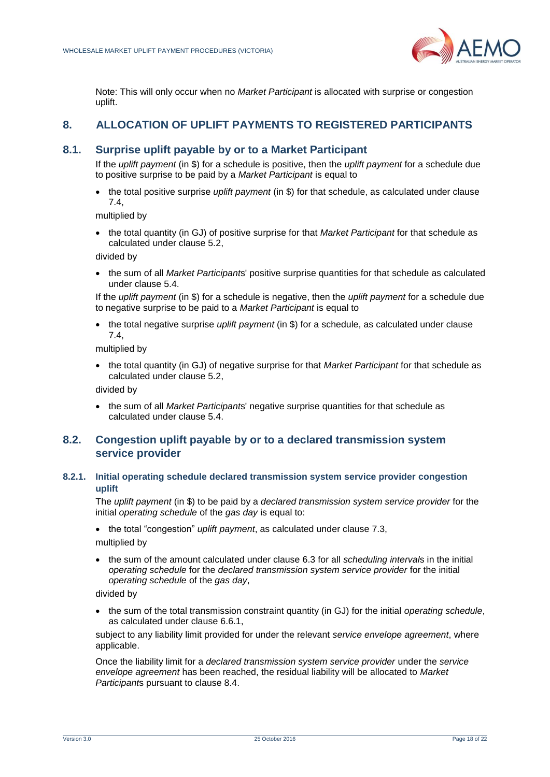

<span id="page-17-0"></span>Note: This will only occur when no *Market Participant* is allocated with surprise or congestion uplift.

# **8. ALLOCATION OF UPLIFT PAYMENTS TO REGISTERED PARTICIPANTS**

# <span id="page-17-1"></span>**8.1. Surprise uplift payable by or to a Market Participant**

If the *uplift payment* (in \$) for a schedule is positive, then the *uplift payment* for a schedule due to positive surprise to be paid by a *Market Participant* is equal to

 the total positive surprise *uplift payment* (in \$) for that schedule, as calculated under clause 7.4,

multiplied by

 the total quantity (in GJ) of positive surprise for that *Market Participant* for that schedule as calculated under clause 5.2,

divided by

 the sum of all *Market Participant*s' positive surprise quantities for that schedule as calculated under clause 5.4.

If the *uplift payment* (in \$) for a schedule is negative, then the *uplift payment* for a schedule due to negative surprise to be paid to a *Market Participant* is equal to

• the total negative surprise *uplift payment* (in \$) for a schedule, as calculated under clause 7.4,

multiplied by

 the total quantity (in GJ) of negative surprise for that *Market Participant* for that schedule as calculated under clause 5.2,

divided by

 the sum of all *Market Participant*s' negative surprise quantities for that schedule as calculated under clause 5.4.

# <span id="page-17-2"></span>**8.2. Congestion uplift payable by or to a declared transmission system service provider**

#### **8.2.1. Initial operating schedule declared transmission system service provider congestion uplift**

The *uplift payment* (in \$) to be paid by a *declared transmission system service provider* for the initial *operating schedule* of the *gas day* is equal to:

 the total "congestion" *uplift payment*, as calculated under clause 7.3, multiplied by

 the sum of the amount calculated under clause 6.3 for all *scheduling interval*s in the initial *operating schedule* for the *declared transmission system service provider* for the initial *operating schedule* of the *gas day*,

divided by

 the sum of the total transmission constraint quantity (in GJ) for the initial *operating schedule*, as calculated under clause 6.6.1,

subject to any liability limit provided for under the relevant *service envelope agreement*, where applicable.

Once the liability limit for a *declared transmission system service provider* under the *service envelope agreement* has been reached, the residual liability will be allocated to *Market Participant*s pursuant to clause 8.4.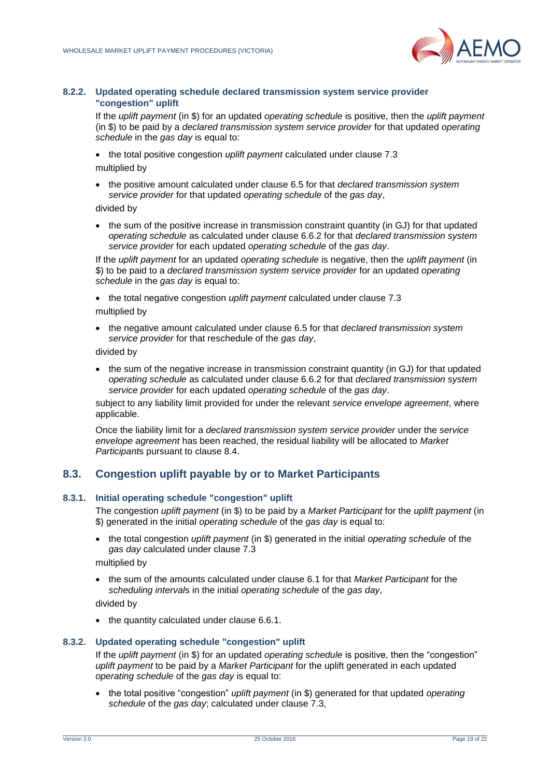

### **8.2.2. Updated operating schedule declared transmission system service provider "congestion" uplift**

If the *uplift payment* (in \$) for an updated *operating schedule* is positive, then the *uplift payment* (in \$) to be paid by a *declared transmission system service provider* for that updated *operating schedule* in the *gas day* is equal to:

- the total positive congestion *uplift payment* calculated under clause 7.3 multiplied by
- the positive amount calculated under clause 6.5 for that *declared transmission system service provider* for that updated *operating schedule* of the *gas day*,

#### divided by

• the sum of the positive increase in transmission constraint quantity (in GJ) for that updated *operating schedule* as calculated under clause 6.6.2 for that *declared transmission system service provider* for each updated *operating schedule* of the *gas day*.

If the *uplift payment* for an updated *operating schedule* is negative, then the *uplift payment* (in \$) to be paid to a *declared transmission system service provider* for an updated *operating schedule* in the *gas day* is equal to:

- the total negative congestion *uplift payment* calculated under clause 7.3 multiplied by
- the negative amount calculated under clause 6.5 for that *declared transmission system service provider* for that reschedule of the *gas day*,

divided by

• the sum of the negative increase in transmission constraint quantity (in GJ) for that updated *operating schedule* as calculated under clause 6.6.2 for that *declared transmission system service provider* for each updated *operating schedule* of the *gas day*.

subject to any liability limit provided for under the relevant *service envelope agreement*, where applicable.

Once the liability limit for a *declared transmission system service provider* under the *service envelope agreement* has been reached, the residual liability will be allocated to *Market Participant*s pursuant to clause 8.4.

# <span id="page-18-0"></span>**8.3. Congestion uplift payable by or to Market Participants**

#### **8.3.1. Initial operating schedule "congestion" uplift**

The congestion *uplift payment* (in \$) to be paid by a *Market Participant* for the *uplift payment* (in \$) generated in the initial *operating schedule* of the *gas day* is equal to:

 the total congestion *uplift payment* (in \$) generated in the initial *operating schedule* of the *gas day* calculated under clause 7.3

multiplied by

 the sum of the amounts calculated under clause 6.1 for that *Market Participant* for the *scheduling interval*s in the initial *operating schedule* of the *gas day*,

divided by

 $\bullet$  the quantity calculated under clause 6.6.1.

#### **8.3.2. Updated operating schedule "congestion" uplift**

If the *uplift payment* (in \$) for an updated *operating schedule* is positive, then the "congestion" *uplift payment* to be paid by a *Market Participant* for the uplift generated in each updated *operating schedule* of the *gas day* is equal to:

• the total positive "congestion" *uplift payment* (in \$) generated for that updated *operating schedule* of the *gas day*; calculated under clause 7.3,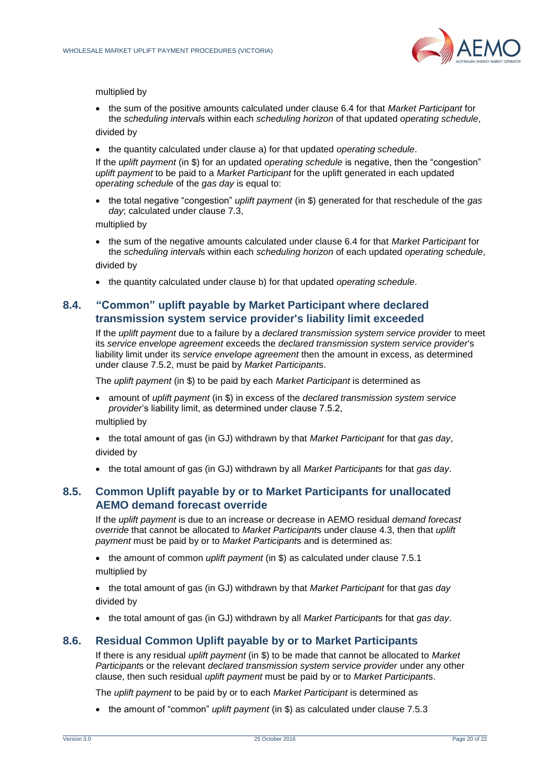

multiplied by

- the sum of the positive amounts calculated under clause 6.4 for that *Market Participant* for the *scheduling interval*s within each *scheduling horizon* of that updated *operating schedule*, divided by
- the quantity calculated under clause a) for that updated *operating schedule*.

If the *uplift payment* (in \$) for an updated *operating schedule* is negative, then the "congestion" *uplift payment* to be paid to a *Market Participant* for the uplift generated in each updated *operating schedule* of the *gas day* is equal to:

• the total negative "congestion" *uplift payment* (in \$) generated for that reschedule of the *gas day*; calculated under clause 7.3,

multiplied by

- the sum of the negative amounts calculated under clause 6.4 for that *Market Participant* for the *scheduling interval*s within each *scheduling horizon* of each updated *operating schedule*, divided by
- <span id="page-19-0"></span>the quantity calculated under clause b) for that updated *operating schedule*.

# **8.4. "Common" uplift payable by Market Participant where declared transmission system service provider's liability limit exceeded**

If the *uplift payment* due to a failure by a *declared transmission system service provider* to meet its *service envelope agreement* exceeds the *declared transmission system service provider*'s liability limit under its *service envelope agreement* then the amount in excess, as determined under clause 7.5.2, must be paid by *Market Participant*s.

The *uplift payment* (in \$) to be paid by each *Market Participant* is determined as

 amount of *uplift payment* (in \$) in excess of the *declared transmission system service provider*'s liability limit, as determined under clause 7.5.2,

multiplied by

- the total amount of gas (in GJ) withdrawn by that *Market Participant* for that *gas day*, divided by
- the total amount of gas (in GJ) withdrawn by all *Market Participant*s for that *gas day*.

# <span id="page-19-1"></span>**8.5. Common Uplift payable by or to Market Participants for unallocated AEMO demand forecast override**

If the *uplift payment* is due to an increase or decrease in AEMO residual *demand forecast override* that cannot be allocated to *Market Participant*s under clause 4.3, then that *uplift payment* must be paid by or to *Market Participant*s and is determined as:

• the amount of common *uplift payment* (in \$) as calculated under clause 7.5.1 multiplied by

 the total amount of gas (in GJ) withdrawn by that *Market Participant* for that *gas day* divided by

the total amount of gas (in GJ) withdrawn by all *Market Participant*s for that *gas day*.

### <span id="page-19-2"></span>**8.6. Residual Common Uplift payable by or to Market Participants**

If there is any residual *uplift payment* (in \$) to be made that cannot be allocated to *Market Participant*s or the relevant *declared transmission system service provider* under any other clause, then such residual *uplift payment* must be paid by or to *Market Participant*s.

The *uplift payment* to be paid by or to each *Market Participant* is determined as

• the amount of "common" *uplift payment* (in \$) as calculated under clause 7.5.3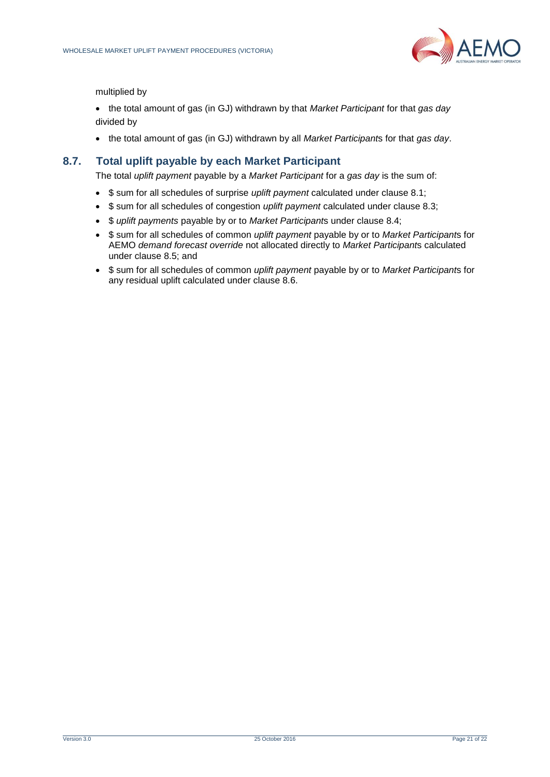

multiplied by

 the total amount of gas (in GJ) withdrawn by that *Market Participant* for that *gas day* divided by

<span id="page-20-0"></span>the total amount of gas (in GJ) withdrawn by all *Market Participant*s for that *gas day*.

### **8.7. Total uplift payable by each Market Participant**

The total *uplift payment* payable by a *Market Participant* for a *gas day* is the sum of:

- \$ sum for all schedules of surprise *uplift payment* calculated under clause 8.1;
- \$ sum for all schedules of congestion *uplift payment* calculated under clause 8.3;
- \$ *uplift payments* payable by or to *Market Participant*s under clause 8.4;
- \$ sum for all schedules of common *uplift payment* payable by or to *Market Participant*s for AEMO *demand forecast override* not allocated directly to *Market Participant*s calculated under clause 8.5; and
- \$ sum for all schedules of common *uplift payment* payable by or to *Market Participant*s for any residual uplift calculated under clause 8.6.